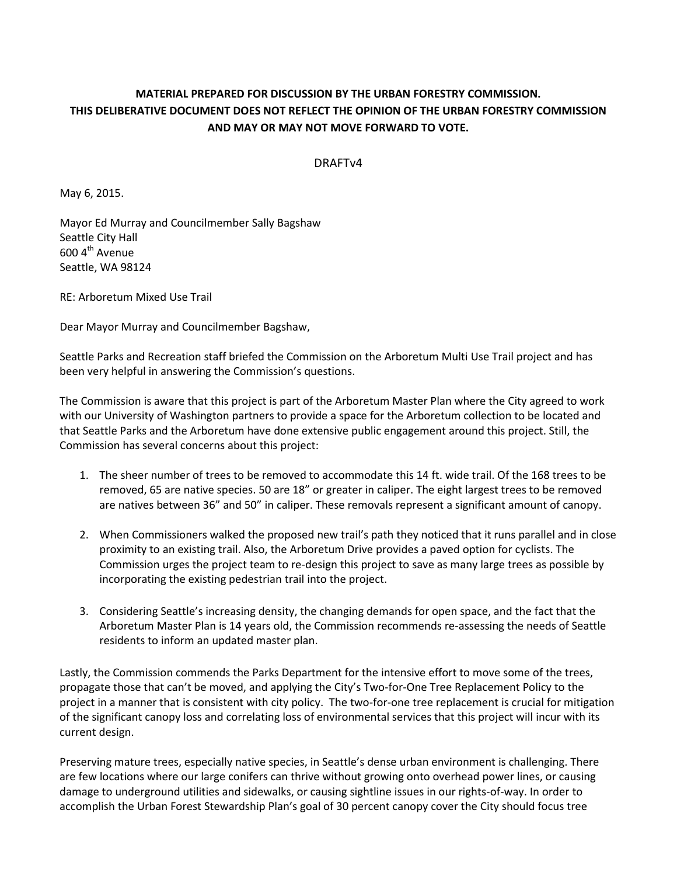## **MATERIAL PREPARED FOR DISCUSSION BY THE URBAN FORESTRY COMMISSION. THIS DELIBERATIVE DOCUMENT DOES NOT REFLECT THE OPINION OF THE URBAN FORESTRY COMMISSION AND MAY OR MAY NOT MOVE FORWARD TO VOTE.**

## DRAFTv4

May 6, 2015.

Mayor Ed Murray and Councilmember Sally Bagshaw Seattle City Hall 600 4<sup>th</sup> Avenue Seattle, WA 98124

RE: Arboretum Mixed Use Trail

Dear Mayor Murray and Councilmember Bagshaw,

Seattle Parks and Recreation staff briefed the Commission on the Arboretum Multi Use Trail project and has been very helpful in answering the Commission's questions.

The Commission is aware that this project is part of the Arboretum Master Plan where the City agreed to work with our University of Washington partners to provide a space for the Arboretum collection to be located and that Seattle Parks and the Arboretum have done extensive public engagement around this project. Still, the Commission has several concerns about this project:

- 1. The sheer number of trees to be removed to accommodate this 14 ft. wide trail. Of the 168 trees to be removed, 65 are native species. 50 are 18" or greater in caliper. The eight largest trees to be removed are natives between 36" and 50" in caliper. These removals represent a significant amount of canopy.
- 2. When Commissioners walked the proposed new trail's path they noticed that it runs parallel and in close proximity to an existing trail. Also, the Arboretum Drive provides a paved option for cyclists. The Commission urges the project team to re-design this project to save as many large trees as possible by incorporating the existing pedestrian trail into the project.
- 3. Considering Seattle's increasing density, the changing demands for open space, and the fact that the Arboretum Master Plan is 14 years old, the Commission recommends re-assessing the needs of Seattle residents to inform an updated master plan.

Lastly, the Commission commends the Parks Department for the intensive effort to move some of the trees, propagate those that can't be moved, and applying the City's Two-for-One Tree Replacement Policy to the project in a manner that is consistent with city policy. The two-for-one tree replacement is crucial for mitigation of the significant canopy loss and correlating loss of environmental services that this project will incur with its current design.

Preserving mature trees, especially native species, in Seattle's dense urban environment is challenging. There are few locations where our large conifers can thrive without growing onto overhead power lines, or causing damage to underground utilities and sidewalks, or causing sightline issues in our rights-of-way. In order to accomplish the Urban Forest Stewardship Plan's goal of 30 percent canopy cover the City should focus tree